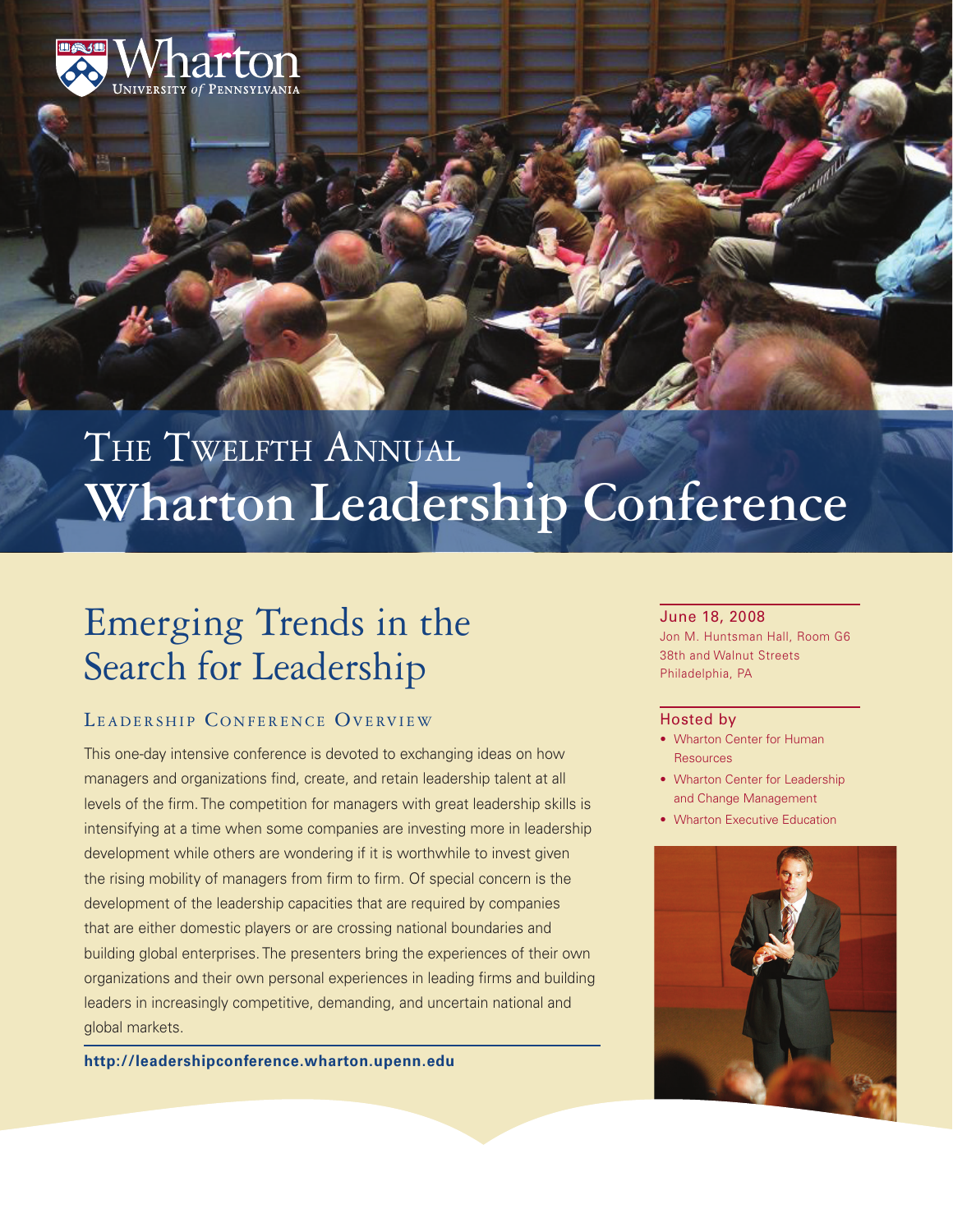

# THE TWELFTH ANNUAL **Wharton Leadership Conference**

# Emerging Trends in the Search for Leadership

## LEADERSHIP CONFERENCE OVERVIEW

This one-day intensive conference is devoted to exchanging ideas on how managers and organizations find, create, and retain leadership talent at all levels of the firm. The competition for managers with great leadership skills is intensifying at a time when some companies are investing more in leadership development while others are wondering if it is worthwhile to invest given the rising mobility of managers from firm to firm. Of special concern is the development of the leadership capacities that are required by companies that are either domestic players or are crossing national boundaries and building global enterprises. The presenters bring the experiences of their own organizations and their own personal experiences in leading firms and building leaders in increasingly competitive, demanding, and uncertain national and global markets.

**<http://leadershipconference.wharton.upenn.edu>**

#### June 18, 2008

Jon M. Huntsman Hall, Room G6 38th and Walnut Streets Philadelphia, PA

#### Hosted by

- Wharton Center for Human Resources
- Wharton Center for Leadership and Change Management
- Wharton Executive Education